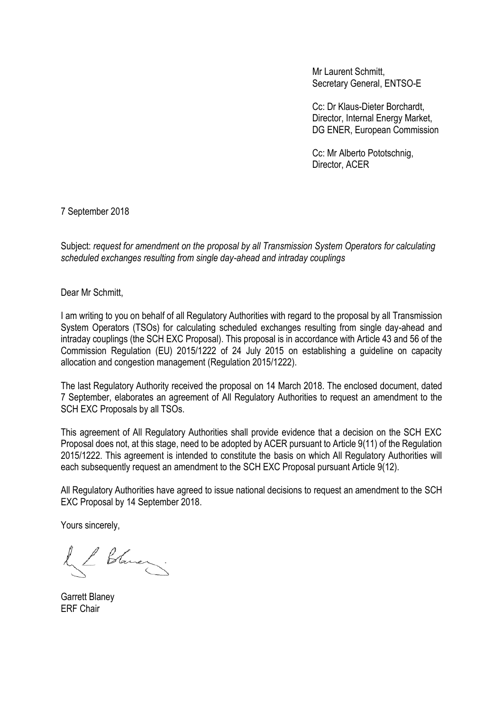Mr Laurent Schmitt, Secretary General, ENTSO-E

Cc: Dr Klaus-Dieter Borchardt, Director, Internal Energy Market, DG ENER, European Commission

Cc: Mr Alberto Pototschnig, Director, ACER

7 September 2018

Subject: *request for amendment on the proposal by all Transmission System Operators for calculating scheduled exchanges resulting from single day-ahead and intraday couplings*

Dear Mr Schmitt,

I am writing to you on behalf of all Regulatory Authorities with regard to the proposal by all Transmission System Operators (TSOs) for calculating scheduled exchanges resulting from single day-ahead and intraday couplings (the SCH EXC Proposal). This proposal is in accordance with Article 43 and 56 of the Commission Regulation (EU) 2015/1222 of 24 July 2015 on establishing a guideline on capacity allocation and congestion management (Regulation 2015/1222).

The last Regulatory Authority received the proposal on 14 March 2018. The enclosed document, dated 7 September, elaborates an agreement of All Regulatory Authorities to request an amendment to the SCH EXC Proposals by all TSOs.

This agreement of All Regulatory Authorities shall provide evidence that a decision on the SCH EXC Proposal does not, at this stage, need to be adopted by ACER pursuant to Article 9(11) of the Regulation 2015/1222. This agreement is intended to constitute the basis on which All Regulatory Authorities will each subsequently request an amendment to the SCH EXC Proposal pursuant Article 9(12).

All Regulatory Authorities have agreed to issue national decisions to request an amendment to the SCH EXC Proposal by 14 September 2018.

Yours sincerely,

Il Stare

Garrett Blaney ERF Chair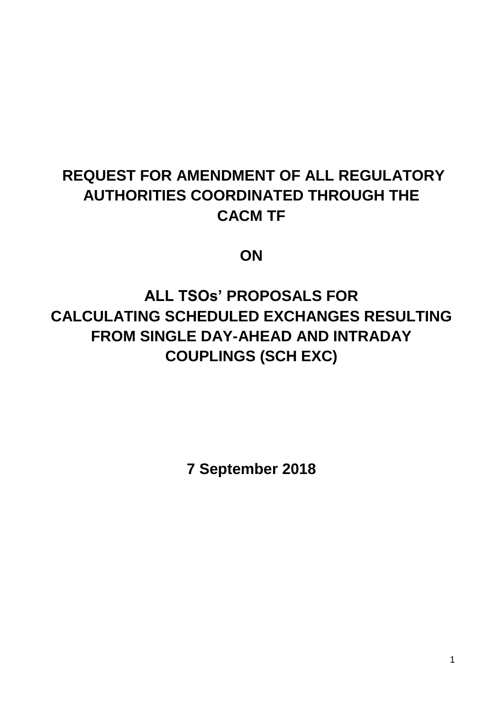# **REQUEST FOR AMENDMENT OF ALL REGULATORY AUTHORITIES COORDINATED THROUGH THE CACM TF**

**ON**

**ALL TSOs' PROPOSALS FOR CALCULATING SCHEDULED EXCHANGES RESULTING FROM SINGLE DAY-AHEAD AND INTRADAY COUPLINGS (SCH EXC)**

**7 September 2018**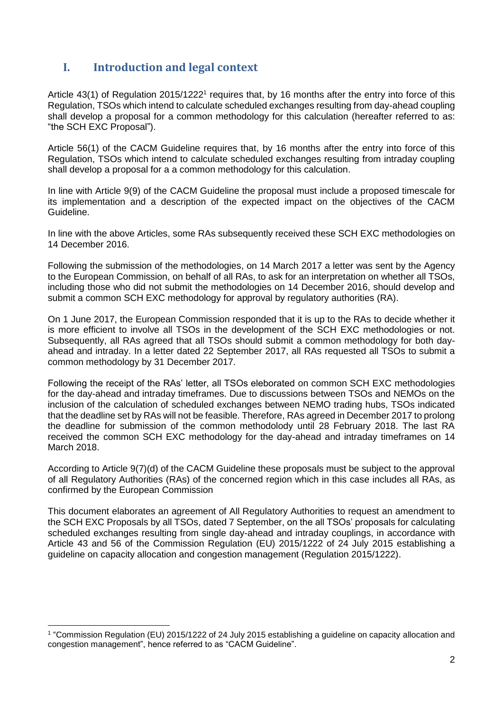# **I. Introduction and legal context**

Article  $43(1)$  of Regulation 2015/1222<sup>1</sup> requires that, by 16 months after the entry into force of this Regulation, TSOs which intend to calculate scheduled exchanges resulting from day-ahead coupling shall develop a proposal for a common methodology for this calculation (hereafter referred to as: "the SCH EXC Proposal").

Article 56(1) of the CACM Guideline requires that, by 16 months after the entry into force of this Regulation, TSOs which intend to calculate scheduled exchanges resulting from intraday coupling shall develop a proposal for a a common methodology for this calculation.

In line with Article 9(9) of the CACM Guideline the proposal must include a proposed timescale for its implementation and a description of the expected impact on the objectives of the CACM Guideline.

In line with the above Articles, some RAs subsequently received these SCH EXC methodologies on 14 December 2016.

Following the submission of the methodologies, on 14 March 2017 a letter was sent by the Agency to the European Commission, on behalf of all RAs, to ask for an interpretation on whether all TSOs, including those who did not submit the methodologies on 14 December 2016, should develop and submit a common SCH EXC methodology for approval by regulatory authorities (RA).

On 1 June 2017, the European Commission responded that it is up to the RAs to decide whether it is more efficient to involve all TSOs in the development of the SCH EXC methodologies or not. Subsequently, all RAs agreed that all TSOs should submit a common methodology for both dayahead and intraday. In a letter dated 22 September 2017, all RAs requested all TSOs to submit a common methodology by 31 December 2017.

Following the receipt of the RAs' letter, all TSOs eleborated on common SCH EXC methodologies for the day-ahead and intraday timeframes. Due to discussions between TSOs and NEMOs on the inclusion of the calculation of scheduled exchanges between NEMO trading hubs, TSOs indicated that the deadline set by RAs will not be feasible. Therefore, RAs agreed in December 2017 to prolong the deadline for submission of the common methodolody until 28 February 2018. The last RA received the common SCH EXC methodology for the day-ahead and intraday timeframes on 14 March 2018.

According to Article 9(7)(d) of the CACM Guideline these proposals must be subject to the approval of all Regulatory Authorities (RAs) of the concerned region which in this case includes all RAs, as confirmed by the European Commission

This document elaborates an agreement of All Regulatory Authorities to request an amendment to the SCH EXC Proposals by all TSOs, dated 7 September, on the all TSOs' proposals for calculating scheduled exchanges resulting from single day-ahead and intraday couplings, in accordance with Article 43 and 56 of the Commission Regulation (EU) 2015/1222 of 24 July 2015 establishing a guideline on capacity allocation and congestion management (Regulation 2015/1222).

<sup>-</sup>1 "Commission Regulation (EU) 2015/1222 of 24 July 2015 establishing a guideline on capacity allocation and congestion management", hence referred to as "CACM Guideline".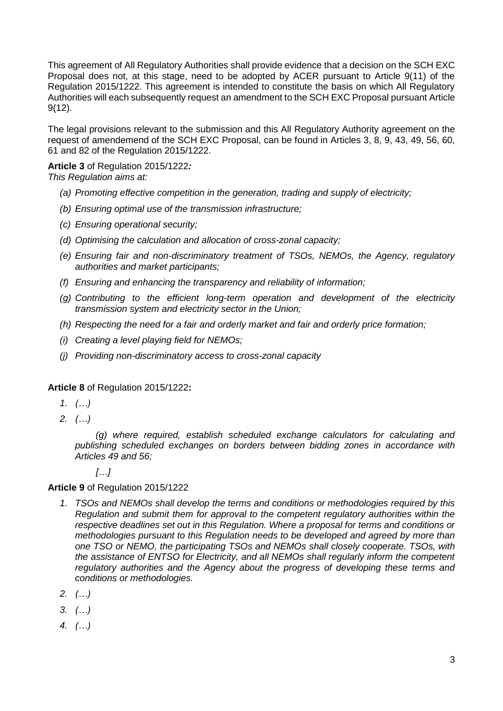This agreement of All Regulatory Authorities shall provide evidence that a decision on the SCH EXC Proposal does not, at this stage, need to be adopted by ACER pursuant to Article 9(11) of the Regulation 2015/1222. This agreement is intended to constitute the basis on which All Regulatory Authorities will each subsequently request an amendment to the SCH EXC Proposal pursuant Article 9(12).

The legal provisions relevant to the submission and this All Regulatory Authority agreement on the request of amendemend of the SCH EXC Proposal, can be found in Articles 3, 8, 9, 43, 49, 56, 60, 61 and 82 of the Regulation 2015/1222.

**Article 3** of Regulation 2015/1222*:*

*This Regulation aims at:*

- *(a) Promoting effective competition in the generation, trading and supply of electricity;*
- *(b) Ensuring optimal use of the transmission infrastructure;*
- *(c) Ensuring operational security;*
- *(d) Optimising the calculation and allocation of cross-zonal capacity;*
- *(e) Ensuring fair and non-discriminatory treatment of TSOs, NEMOs, the Agency, regulatory authorities and market participants;*
- *(f) Ensuring and enhancing the transparency and reliability of information;*
- *(g) Contributing to the efficient long-term operation and development of the electricity transmission system and electricity sector in the Union;*
- *(h) Respecting the need for a fair and orderly market and fair and orderly price formation;*
- *(i) Creating a level playing field for NEMOs;*
- *(j) Providing non-discriminatory access to cross-zonal capacity*

## **Article 8** of Regulation 2015/1222**:**

- *1. (…)*
- *2. (…)*

*(g) where required, establish scheduled exchange calculators for calculating and publishing scheduled exchanges on borders between bidding zones in accordance with Articles 49 and 56;*

*[…]*

## **Article 9** of Regulation 2015/1222

- *1. TSOs and NEMOs shall develop the terms and conditions or methodologies required by this Regulation and submit them for approval to the competent regulatory authorities within the respective deadlines set out in this Regulation. Where a proposal for terms and conditions or methodologies pursuant to this Regulation needs to be developed and agreed by more than one TSO or NEMO, the participating TSOs and NEMOs shall closely cooperate. TSOs, with the assistance of ENTSO for Electricity, and all NEMOs shall regularly inform the competent regulatory authorities and the Agency about the progress of developing these terms and conditions or methodologies.*
- *2. (…)*
- *3. (…)*
- *4. (…)*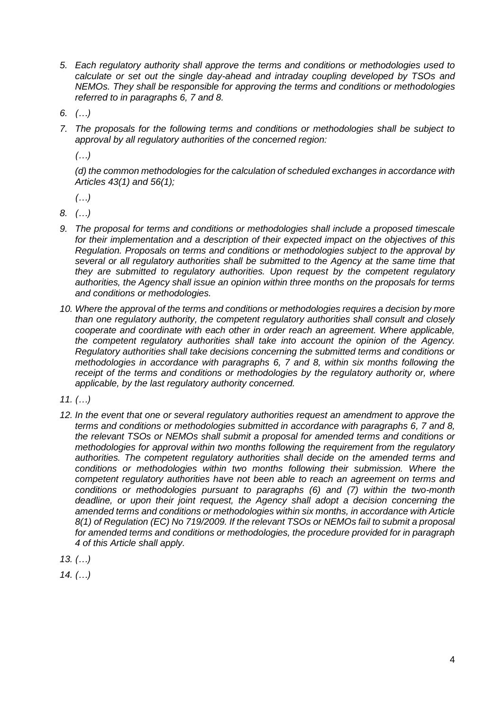- *5. Each regulatory authority shall approve the terms and conditions or methodologies used to calculate or set out the single day-ahead and intraday coupling developed by TSOs and NEMOs. They shall be responsible for approving the terms and conditions or methodologies referred to in paragraphs 6, 7 and 8.*
- *6. (…)*
- *7. The proposals for the following terms and conditions or methodologies shall be subject to approval by all regulatory authorities of the concerned region:*

*(…)*

*(d) the common methodologies for the calculation of scheduled exchanges in accordance with Articles 43(1) and 56(1);*

*(…)*

*8. (…)*

- *9. The proposal for terms and conditions or methodologies shall include a proposed timescale for their implementation and a description of their expected impact on the objectives of this Regulation. Proposals on terms and conditions or methodologies subject to the approval by several or all regulatory authorities shall be submitted to the Agency at the same time that they are submitted to regulatory authorities. Upon request by the competent regulatory authorities, the Agency shall issue an opinion within three months on the proposals for terms and conditions or methodologies.*
- *10. Where the approval of the terms and conditions or methodologies requires a decision by more than one regulatory authority, the competent regulatory authorities shall consult and closely cooperate and coordinate with each other in order reach an agreement. Where applicable, the competent regulatory authorities shall take into account the opinion of the Agency. Regulatory authorities shall take decisions concerning the submitted terms and conditions or methodologies in accordance with paragraphs 6, 7 and 8, within six months following the*  receipt of the terms and conditions or methodologies by the regulatory authority or, where *applicable, by the last regulatory authority concerned.*

*11. (…)*

*12. In the event that one or several regulatory authorities request an amendment to approve the terms and conditions or methodologies submitted in accordance with paragraphs 6, 7 and 8, the relevant TSOs or NEMOs shall submit a proposal for amended terms and conditions or methodologies for approval within two months following the requirement from the regulatory authorities. The competent regulatory authorities shall decide on the amended terms and conditions or methodologies within two months following their submission. Where the competent regulatory authorities have not been able to reach an agreement on terms and conditions or methodologies pursuant to paragraphs (6) and (7) within the two-month deadline, or upon their joint request, the Agency shall adopt a decision concerning the amended terms and conditions or methodologies within six months, in accordance with Article 8(1) of Regulation (EC) No 719/2009. If the relevant TSOs or NEMOs fail to submit a proposal for amended terms and conditions or methodologies, the procedure provided for in paragraph 4 of this Article shall apply.*

*13. (…)*

*14. (…)*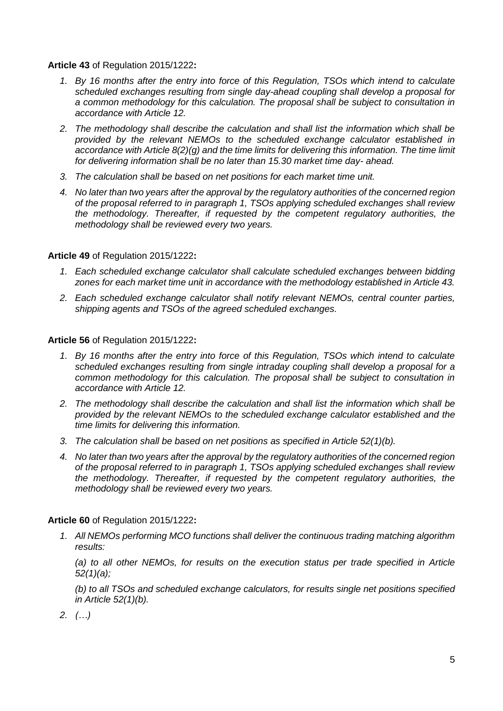**Article 43** of Regulation 2015/1222**:**

- *1. By 16 months after the entry into force of this Regulation, TSOs which intend to calculate scheduled exchanges resulting from single day-ahead coupling shall develop a proposal for a common methodology for this calculation. The proposal shall be subject to consultation in accordance with Article 12.*
- *2. The methodology shall describe the calculation and shall list the information which shall be provided by the relevant NEMOs to the scheduled exchange calculator established in accordance with Article 8(2)(g) and the time limits for delivering this information. The time limit for delivering information shall be no later than 15.30 market time day- ahead.*
- *3. The calculation shall be based on net positions for each market time unit.*
- *4. No later than two years after the approval by the regulatory authorities of the concerned region of the proposal referred to in paragraph 1, TSOs applying scheduled exchanges shall review the methodology. Thereafter, if requested by the competent regulatory authorities, the methodology shall be reviewed every two years.*

#### **Article 49** of Regulation 2015/1222**:**

- *1. Each scheduled exchange calculator shall calculate scheduled exchanges between bidding zones for each market time unit in accordance with the methodology established in Article 43.*
- *2. Each scheduled exchange calculator shall notify relevant NEMOs, central counter parties, shipping agents and TSOs of the agreed scheduled exchanges.*

#### **Article 56** of Regulation 2015/1222**:**

- *1. By 16 months after the entry into force of this Regulation, TSOs which intend to calculate scheduled exchanges resulting from single intraday coupling shall develop a proposal for a common methodology for this calculation. The proposal shall be subject to consultation in accordance with Article 12.*
- *2. The methodology shall describe the calculation and shall list the information which shall be provided by the relevant NEMOs to the scheduled exchange calculator established and the time limits for delivering this information.*
- *3. The calculation shall be based on net positions as specified in Article 52(1)(b).*
- *4. No later than two years after the approval by the regulatory authorities of the concerned region of the proposal referred to in paragraph 1, TSOs applying scheduled exchanges shall review the methodology. Thereafter, if requested by the competent regulatory authorities, the methodology shall be reviewed every two years.*

#### **Article 60** of Regulation 2015/1222**:**

*1. All NEMOs performing MCO functions shall deliver the continuous trading matching algorithm results:* 

*(a) to all other NEMOs, for results on the execution status per trade specified in Article 52(1)(a);*

*(b) to all TSOs and scheduled exchange calculators, for results single net positions specified in Article 52(1)(b).* 

*2. (…)*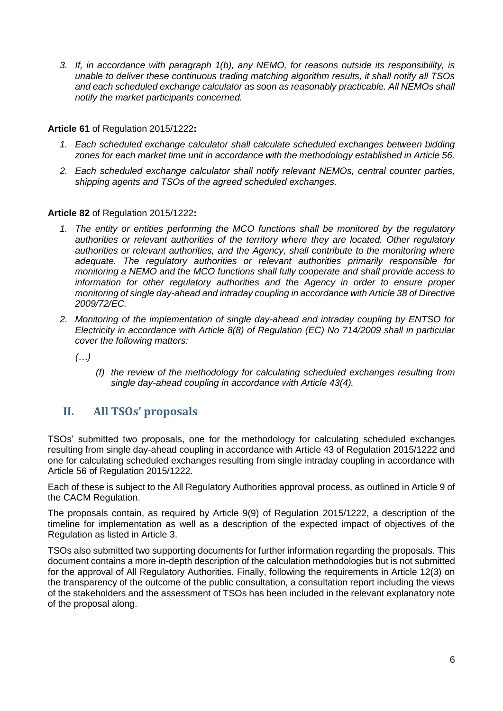*3. If, in accordance with paragraph 1(b), any NEMO, for reasons outside its responsibility, is unable to deliver these continuous trading matching algorithm results, it shall notify all TSOs and each scheduled exchange calculator as soon as reasonably practicable. All NEMOs shall notify the market participants concerned.*

**Article 61** of Regulation 2015/1222**:**

- *1. Each scheduled exchange calculator shall calculate scheduled exchanges between bidding zones for each market time unit in accordance with the methodology established in Article 56.*
- *2. Each scheduled exchange calculator shall notify relevant NEMOs, central counter parties, shipping agents and TSOs of the agreed scheduled exchanges.*

**Article 82** of Regulation 2015/1222**:**

- *1. The entity or entities performing the MCO functions shall be monitored by the regulatory authorities or relevant authorities of the territory where they are located. Other regulatory authorities or relevant authorities, and the Agency, shall contribute to the monitoring where adequate. The regulatory authorities or relevant authorities primarily responsible for monitoring a NEMO and the MCO functions shall fully cooperate and shall provide access to information for other regulatory authorities and the Agency in order to ensure proper monitoring of single day-ahead and intraday coupling in accordance with Article 38 of Directive 2009/72/EC.*
- *2. Monitoring of the implementation of single day-ahead and intraday coupling by ENTSO for Electricity in accordance with Article 8(8) of Regulation (EC) No 714/2009 shall in particular cover the following matters:*

*(…)*

*(f) the review of the methodology for calculating scheduled exchanges resulting from single day-ahead coupling in accordance with Article 43(4).*

# **II. All TSOs' proposals**

TSOs' submitted two proposals, one for the methodology for calculating scheduled exchanges resulting from single day-ahead coupling in accordance with Article 43 of Regulation 2015/1222 and one for calculating scheduled exchanges resulting from single intraday coupling in accordance with Article 56 of Regulation 2015/1222.

Each of these is subject to the All Regulatory Authorities approval process, as outlined in Article 9 of the CACM Regulation.

The proposals contain, as required by Article 9(9) of Regulation 2015/1222, a description of the timeline for implementation as well as a description of the expected impact of objectives of the Regulation as listed in Article 3.

TSOs also submitted two supporting documents for further information regarding the proposals. This document contains a more in-depth description of the calculation methodologies but is not submitted for the approval of All Regulatory Authorities. Finally, following the requirements in Article 12(3) on the transparency of the outcome of the public consultation, a consultation report including the views of the stakeholders and the assessment of TSOs has been included in the relevant explanatory note of the proposal along.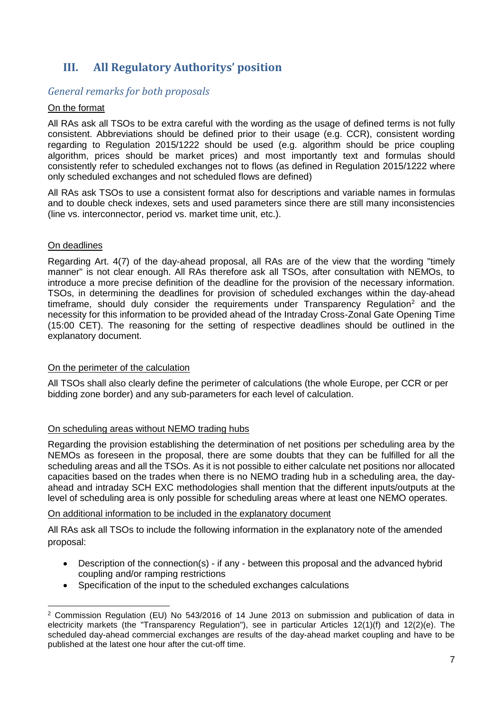# **III. All Regulatory Authoritys' position**

## *General remarks for both proposals*

#### On the format

All RAs ask all TSOs to be extra careful with the wording as the usage of defined terms is not fully consistent. Abbreviations should be defined prior to their usage (e.g. CCR), consistent wording regarding to Regulation 2015/1222 should be used (e.g. algorithm should be price coupling algorithm, prices should be market prices) and most importantly text and formulas should consistently refer to scheduled exchanges not to flows (as defined in Regulation 2015/1222 where only scheduled exchanges and not scheduled flows are defined)

All RAs ask TSOs to use a consistent format also for descriptions and variable names in formulas and to double check indexes, sets and used parameters since there are still many inconsistencies (line vs. interconnector, period vs. market time unit, etc.).

#### On deadlines

-

Regarding Art. 4(7) of the day-ahead proposal, all RAs are of the view that the wording "timely manner" is not clear enough. All RAs therefore ask all TSOs, after consultation with NEMOs, to introduce a more precise definition of the deadline for the provision of the necessary information. TSOs, in determining the deadlines for provision of scheduled exchanges within the day-ahead timeframe, should duly consider the requirements under Transparency Regulation<sup>2</sup> and the necessity for this information to be provided ahead of the Intraday Cross-Zonal Gate Opening Time (15:00 CET). The reasoning for the setting of respective deadlines should be outlined in the explanatory document.

#### On the perimeter of the calculation

All TSOs shall also clearly define the perimeter of calculations (the whole Europe, per CCR or per bidding zone border) and any sub-parameters for each level of calculation.

#### On scheduling areas without NEMO trading hubs

Regarding the provision establishing the determination of net positions per scheduling area by the NEMOs as foreseen in the proposal, there are some doubts that they can be fulfilled for all the scheduling areas and all the TSOs. As it is not possible to either calculate net positions nor allocated capacities based on the trades when there is no NEMO trading hub in a scheduling area, the dayahead and intraday SCH EXC methodologies shall mention that the different inputs/outputs at the level of scheduling area is only possible for scheduling areas where at least one NEMO operates.

#### On additional information to be included in the explanatory document

All RAs ask all TSOs to include the following information in the explanatory note of the amended proposal:

- Description of the connection(s) if any between this proposal and the advanced hybrid coupling and/or ramping restrictions
- Specification of the input to the scheduled exchanges calculations

<sup>2</sup> Commission Regulation (EU) No 543/2016 of 14 June 2013 on submission and publication of data in electricity markets (the "Transparency Regulation"), see in particular Articles 12(1)(f) and 12(2)(e). The scheduled day-ahead commercial exchanges are results of the day-ahead market coupling and have to be published at the latest one hour after the cut-off time.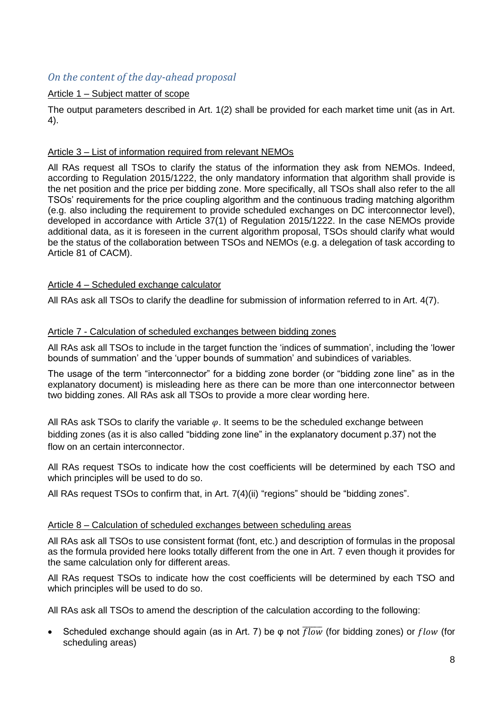# *On the content of the day-ahead proposal*

## Article 1 – Subject matter of scope

The output parameters described in Art. 1(2) shall be provided for each market time unit (as in Art. 4).

#### Article 3 – List of information required from relevant NEMOs

All RAs request all TSOs to clarify the status of the information they ask from NEMOs. Indeed, according to Regulation 2015/1222, the only mandatory information that algorithm shall provide is the net position and the price per bidding zone. More specifically, all TSOs shall also refer to the all TSOs' requirements for the price coupling algorithm and the continuous trading matching algorithm (e.g. also including the requirement to provide scheduled exchanges on DC interconnector level), developed in accordance with Article 37(1) of Regulation 2015/1222. In the case NEMOs provide additional data, as it is foreseen in the current algorithm proposal, TSOs should clarify what would be the status of the collaboration between TSOs and NEMOs (e.g. a delegation of task according to Article 81 of CACM).

#### Article 4 – Scheduled exchange calculator

All RAs ask all TSOs to clarify the deadline for submission of information referred to in Art. 4(7).

#### Article 7 - Calculation of scheduled exchanges between bidding zones

All RAs ask all TSOs to include in the target function the 'indices of summation', including the 'lower bounds of summation' and the 'upper bounds of summation' and subindices of variables.

The usage of the term "interconnector" for a bidding zone border (or "bidding zone line" as in the explanatory document) is misleading here as there can be more than one interconnector between two bidding zones. All RAs ask all TSOs to provide a more clear wording here.

All RAs ask TSOs to clarify the variable  $\varphi$ . It seems to be the scheduled exchange between bidding zones (as it is also called "bidding zone line" in the explanatory document p.37) not the flow on an certain interconnector.

All RAs request TSOs to indicate how the cost coefficients will be determined by each TSO and which principles will be used to do so.

All RAs request TSOs to confirm that, in Art. 7(4)(ii) "regions" should be "bidding zones".

#### Article 8 – Calculation of scheduled exchanges between scheduling areas

All RAs ask all TSOs to use consistent format (font, etc.) and description of formulas in the proposal as the formula provided here looks totally different from the one in Art. 7 even though it provides for the same calculation only for different areas.

All RAs request TSOs to indicate how the cost coefficients will be determined by each TSO and which principles will be used to do so.

All RAs ask all TSOs to amend the description of the calculation according to the following:

Scheduled exchange should again (as in Art. 7) be  $\varphi$  not  $\overline{flow}$  (for bidding zones) or flow (for scheduling areas)